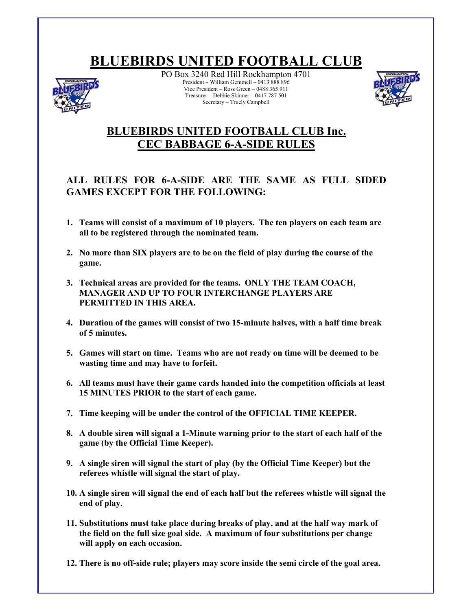## **BLUEBIRDS UNITED FOOTBALL CLUB**



PO Box 3240 Red Hill Rockhampton 4701 President – William Gemmell – 0413 888 896 Vice President – Ross Green – 0488 365 911 Treasurer – Debbie Skinner – 0417 787 501 Secretary – Truely Campbell



## **BLUEBIRDS UNITED FOOTBALL CLUB Inc. CEC BABBAGE 6-A-SIDE RULES**

## **ALL RULES FOR 6-A-SIDE ARE THE SAME AS FULL SIDED GAMES EXCEPT FOR THE FOLLOWING:**

- **1. Teams will consist of a maximum of 10 players. The ten players on each team are all to be registered through the nominated team.**
- **2. No more than SIX players are to be on the field of play during the course of the game.**
- **3. Technical areas are provided for the teams. ONLY THE TEAM COACH, MANAGER AND UP TO FOUR INTERCHANGE PLAYERS ARE PERMITTED IN THIS AREA.**
- **4. Duration of the games will consist of two 15-minute halves, with a half time break of 5 minutes.**
- **5. Games will start on time. Teams who are not ready on time will be deemed to be wasting time and may have to forfeit.**
- **6. All teams must have their game cards handed into the competition officials at least 15 MINUTES PRIOR to the start of each game.**
- **7. Time keeping will be under the control of the OFFICIAL TIME KEEPER.**
- **8. A double siren will signal a 1-Minute warning prior to the start of each half of the game (by the Official Time Keeper).**
- **9. A single siren will signal the start of play (by the Official Time Keeper) but the referees whistle will signal the start of play.**
- **10. A single siren will signal the end of each half but the referees whistle will signal the end of play.**
- **11. Substitutions must take place during breaks of play, and at the half way mark of the field on the full size goal side. A maximum of four substitutions per change will apply on each occasion.**
- **12. There is no off-side rule; players may score inside the semi circle of the goal area.**